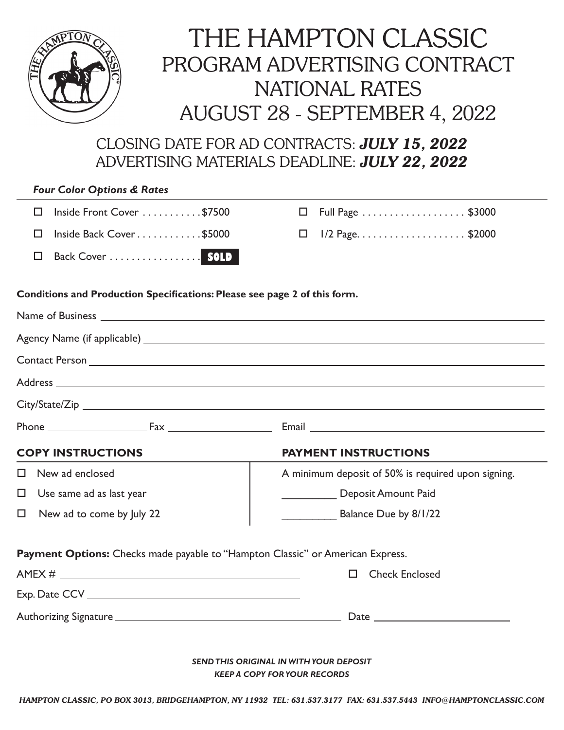

## THE HAMPTON CLASSIC PROGRAM ADVERTISING CONTRACT NATIONAL RATES AUGUST 28 - SEPTEMBER 4, 2022

CLOSING DATE FOR AD CONTRACTS: *JULY 15, 2022* ADVERTISING MATERIALS DEADLINE: *JULY 22, 2022*

| <b>Four Color Options &amp; Rates</b>           |                         |  |
|-------------------------------------------------|-------------------------|--|
| Inside Front Cover \$7500                       | $\Box$ Full Page \$3000 |  |
| Inside Back Cover $\dots\dots\dots\dots$ \$5000 | $\Box$ 1/2 Page\$2000   |  |
| Back Cover  SOLD                                |                         |  |

## **Conditions and Production Specifications: Please see page 2 of this form.**

| Name of Business <u>experience</u> and the second service of the service of the service of the service of the service of the service of the service of the service of the service of the service of the service of the service of t |                                                                                       |  |
|-------------------------------------------------------------------------------------------------------------------------------------------------------------------------------------------------------------------------------------|---------------------------------------------------------------------------------------|--|
|                                                                                                                                                                                                                                     |                                                                                       |  |
|                                                                                                                                                                                                                                     |                                                                                       |  |
|                                                                                                                                                                                                                                     |                                                                                       |  |
|                                                                                                                                                                                                                                     |                                                                                       |  |
|                                                                                                                                                                                                                                     |                                                                                       |  |
| <b>COPY INSTRUCTIONS</b>                                                                                                                                                                                                            | <b>PAYMENT INSTRUCTIONS</b>                                                           |  |
| New ad enclosed<br>$\Box$                                                                                                                                                                                                           | A minimum deposit of 50% is required upon signing.                                    |  |
| Use same ad as last year<br>$\Box$                                                                                                                                                                                                  | Deposit Amount Paid                                                                   |  |
| $\Box$<br>New ad to come by July 22                                                                                                                                                                                                 | Balance Due by 8/1/22                                                                 |  |
| Payment Options: Checks made payable to "Hampton Classic" or American Express.                                                                                                                                                      |                                                                                       |  |
|                                                                                                                                                                                                                                     | $\Box$<br><b>Check Enclosed</b>                                                       |  |
|                                                                                                                                                                                                                                     |                                                                                       |  |
|                                                                                                                                                                                                                                     |                                                                                       |  |
|                                                                                                                                                                                                                                     | <b>SEND THIS ORIGINAL IN WITH YOUR DEPOSIT</b><br><b>KEEP A COPY FOR YOUR RECORDS</b> |  |

*HAMPTON CLASSIC, PO BOX 3013, BRIDGEHAMPTON, NY 11932 TEL: 631.537.3177 FAX: 631.537.5443 INFO@HAMPTONCLASSIC.COM*